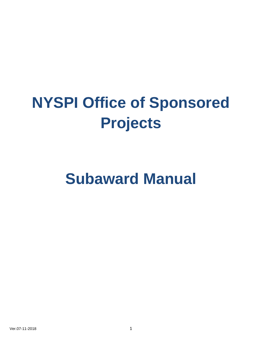# **NYSPI Office of Sponsored Projects**

# **Subaward Manual**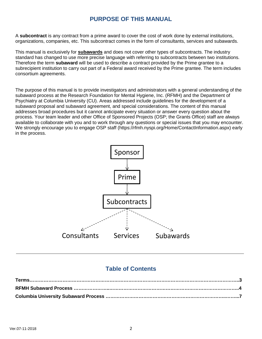## **PURPOSE OF THIS MANUAL**

A **subcontract** is any contract from a prime award to cover the cost of work done by external institutions, organizations, companies, etc. This subcontract comes in the form of consultants, services and subawards.

This manual is exclusively for **subawards** and does not cover other types of subcontracts. The industry standard has changed to use more precise language with referring to subcontracts between two institutions. Therefore the term **subaward** will be used to describe a contract provided by the Prime grantee to a subrecipient institution to carry out part of a Federal award received by the Prime grantee. The term includes consortium agreements.

The purpose of this manual is to provide investigators and administrators with a general understanding of the subaward process at the Research Foundation for Mental Hygiene, Inc. (RFMH) and the Department of Psychiatry at Columbia University (CU). Areas addressed include guidelines for the development of a subaward proposal and subaward agreement, and special considerations. The content of this manual addresses broad procedures but it cannot anticipate every situation or answer every question about the process. Your team leader and other Office of Sponsored Projects (OSP; the Grants Office) staff are always available to collaborate with you and to work through any questions or special issues that you may encounter. We strongly encourage you to engage OSP staff (https://rfmh.nyspi.org/Home/ContactInformation.aspx) early in the process.



## **Table of Contents**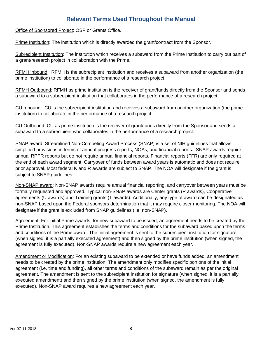## **Relevant Terms Used Throughout the Manual**

Office of Sponsored Project: OSP or Grants Office.

Prime Institution: The institution which is directly awarded the grant/contract from the Sponsor.

Subrecipient Institution: The institution which receives a subaward from the Prime Institution to carry out part of a grant/research project in collaboration with the Prime.

RFMH Inbound: RFMH is the subrecipient institution and receives a subaward from another organization (the prime institution) to collaborate in the performance of a research project.

RFMH Outbound: RFMH as prime institution is the receiver of grant/funds directly from the Sponsor and sends a subaward to a subrecipient institution that collaborates in the performance of a research project.

CU Inbound: CU is the subrecipient institution and receives a subaward from another organization (the prime institution) to collaborate in the performance of a research project.

CU Outbound: CU as prime institution is the receiver of grant/funds directly from the Sponsor and sends a subaward to a subrecipient who collaborates in the performance of a research project.

SNAP award: Streamlined Non-Competing Award Process (SNAP) is a set of NIH guidelines that allows simplified provisions in terms of annual progress reports, NOAs, and financial reports. SNAP awards require annual RPPR reports but do not require annual financial reports. Financial reports (FFR) are only required at the end of each award segment. Carryover of funds between award years is automatic and does not require prior approval. Most federal K and R awards are subject to SNAP. The NOA will designate if the grant is subject to SNAP guidelines.

Non-SNAP award: Non-SNAP awards require annual financial reporting, and carryover between years must be formally requested and approved. Typical non-SNAP awards are Center grants (P awards), Cooperative agreements (U awards) and Training grants (T awards). Additionally, any type of award can be designated as non-SNAP based upon the Federal sponsors determination that it may require closer monitoring. The NOA will designate if the grant is excluded from SNAP guidelines (i.e. non-SNAP).

Agreement: For initial Prime awards, for new subaward to be issued, an agreement needs to be created by the Prime Institution. This agreement establishes the terms and conditions for the subaward based upon the terms and conditions of the Prime award. The initial agreement is sent to the subrecipient institution for signature (when signed, it is a partially executed agreement) and then signed by the prime institution (when signed, the agreement is fully executed). Non-SNAP awards require a new agreement each year.

Amendment or Modification: For an existing subaward to be extended or have funds added, an amendment needs to be created by the prime institution. The amendment only modifies specific portions of the initial agreement (i.e. time and funding), all other terms and conditions of the subaward remain as per the original agreement. The amendment is sent to the subrecipient institution for signature (when signed, it is a partially executed amendment) and then signed by the prime institution (when signed, the amendment is fully executed). Non-SNAP award requires a new agreement each year.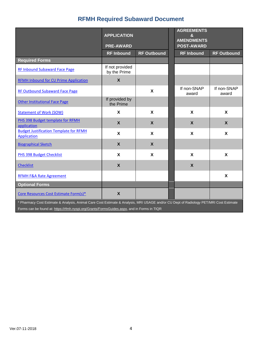## **RFMH Required Subaward Document**

|                                                                     | <b>APPLICATION</b>              |                           |  | <b>AGREEMENTS</b><br>&<br><b>AMENDMENTS</b> |                           |
|---------------------------------------------------------------------|---------------------------------|---------------------------|--|---------------------------------------------|---------------------------|
|                                                                     | <b>PRE-AWARD</b>                |                           |  | <b>POST-AWARD</b>                           |                           |
|                                                                     | <b>RF Inbound</b>               | <b>RF Outbound</b>        |  | <b>RF Inbound</b>                           | <b>RF Outbound</b>        |
| <b>Required Forms</b>                                               |                                 |                           |  |                                             |                           |
| <b>RF Inbound Subaward Face Page</b>                                | If not provided<br>by the Prime |                           |  |                                             |                           |
| <b>RFMH Inbound for CU Prime Application</b>                        | $\mathsf{X}$                    |                           |  |                                             |                           |
| <b>RF Outbound Subaward Face Page</b>                               |                                 | $\mathbf{x}$              |  | If non-SNAP<br>award                        | If non-SNAP<br>award      |
| <b>Other Institutional Face Page</b>                                | If provided by<br>the Prime     |                           |  |                                             |                           |
| <b>Statement of Work (SOW)</b>                                      | X                               | $\boldsymbol{\mathsf{X}}$ |  | $\mathbf{x}$                                | $\boldsymbol{\mathsf{X}}$ |
| PHS 398 Budget template for RFMH<br>application                     | $\mathsf{X}$                    | $\boldsymbol{X}$          |  | $\boldsymbol{X}$                            | $\boldsymbol{X}$          |
| <b>Budget Justification Template for RFMH</b><br><b>Application</b> | X                               | X                         |  | $\boldsymbol{\mathsf{X}}$                   | $\mathbf{x}$              |
| <b>Biographical Sketch</b>                                          | X                               | $\boldsymbol{X}$          |  |                                             |                           |
| <b>PHS 398 Budget Checklist</b>                                     | X                               | $\boldsymbol{\mathsf{X}}$ |  | $\boldsymbol{\mathsf{x}}$                   | $\boldsymbol{\mathsf{X}}$ |
| <b>Checklist</b>                                                    | $\mathsf{X}$                    |                           |  | $\boldsymbol{X}$                            |                           |
| <b>RFMH F&amp;A Rate Agreement</b>                                  |                                 |                           |  |                                             | $\boldsymbol{\mathsf{X}}$ |
| <b>Optional Forms</b>                                               |                                 |                           |  |                                             |                           |
| Core Resources Cost Estimate Form(s)*                               | $\boldsymbol{X}$                |                           |  |                                             |                           |

\* Pharmacy Cost Estimate & Analysis, Animal Care Cost Estimate & Analysis, MRI USAGE and/or CU Dept of Radiology PET/MRI Cost Estimate Forms can be found at[: https://rfmh.nyspi.org/Grants/FormsGuides.aspx,](https://rfmh.nyspi.org/Grants/FormsGuides.aspx) and in Forms in TIQR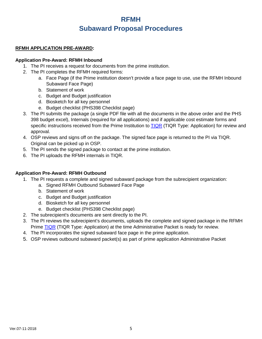## **RFMH Subaward Proposal Procedures**

#### **RFMH APPLICATION PRE-AWARD:**

#### **Application Pre-Award: RFMH Inbound**

- 1. The PI receives a request for documents from the prime institution.
- 2. The PI completes the RFMH required forms:
	- a. Face Page (if the Prime institution doesn't provide a face page to use, use the RFMH Inbound Subaward Face Page)
	- b. Statement of work
	- c. Budget and Budget justification
	- d. Biosketch for all key personnel
	- e. Budget checklist (PHS398 Checklist page)
- 3. The PI submits the package (a single PDF file with all the documents in the above order and the PHS 398 budget excel), Internals (required for all applications) and if applicable cost estimate forms and specific instructions received from the Prime Institution to **TIQR** (TIQR Type: Application) for review and approval.
- 4. OSP reviews and signs off on the package. The signed face page is returned to the PI via TIQR. Original can be picked up in OSP.
- 5. The PI sends the signed package to contact at the prime institution.
- 6. The PI uploads the RFMH internals in TIQR.

#### **Application Pre-Award: RFMH Outbound**

- 1. The PI requests a complete and signed subaward package from the subrecipient organization:
	- a. Signed RFMH Outbound Subaward Face Page
	- b. Statement of work
	- c. Budget and Budget justification
	- d. Biosketch for all key personnel
	- e. Budget checklist (PHS398 Checklist page)
- 2. The subrecipient's documents are sent directly to the PI.
- 3. The PI reviews the subrecipient's documents, uploads the complete and signed package in the RFMH Prime [TIQR](http://tiqr.nyspi.org/) (TIQR Type: Application) at the time Administrative Packet is ready for review.
- 4. The PI incorporates the signed subaward face page in the prime application.
- 5. OSP reviews outbound subaward packet(s) as part of prime application Administrative Packet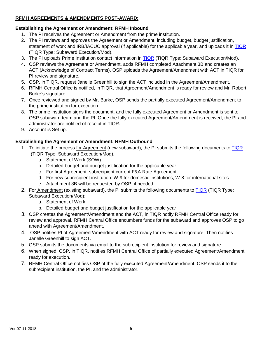#### **RFMH AGREEMENTS & AMENDMENTS POST-AWARD:**

## **Establishing the Agreement or Amendment: RFMH Inbound**

- 1. The PI receives the Agreement or Amendment from the prime institution.
- 2. The PI reviews and approves the Agreement or Amendment, including budget, budget justification, statement of work and IRB/IACUC approval (if applicable) for the applicable year, and uploads it in [TIQR](http://tiqr.nyspi.org/) (TIQR Type: Subaward Execution/Mod).
- 3. The PI uploads Prime Institution contact information in [TIQR](http://tiqr.nyspi.org/) (TIQR Type: Subaward Execution/Mod).
- 4. OSP reviews the Agreement or Amendment, adds RFMH completed Attachment 3B and creates an ACT (Acknowledge of Contract Terms). OSP uploads the Agreement/Amendment with ACT in TIQR for PI review and signature.
- 5. OSP, in TIQR, request Janelle Greenhill to sign the ACT included in the Agreement/Amendment.
- 6. RFMH Central Office is notified, in TIQR, that Agreement/Amendment is ready for review and Mr. Robert Burke's signature.
- 7. Once reviewed and signed by Mr. Burke, OSP sends the partially executed Agreement/Amendment to the prime institution for execution.
- 8. The prime institution signs the document, and the fully executed Agreement or Amendment is sent to OSP subaward team and the PI. Once the fully executed Agreement/Amendment is received, the PI and administrator are notified of receipt in TIQR.
- 9. Account is Set up.

### **Establishing the Agreement or Amendment: RFMH Outbound**

- 1. To initiate the process for Agreement (new subaward), the PI submits the following documents to [TIQR](http://tiqr.nyspi.org/)
	- (TIQR Type: Subaward Execution/Mod).
		- a. Statement of Work (SOW)
		- b. Detailed budget and budget justification for the applicable year
		- c. For first Agreement: subrecipient current F&A Rate Agreement.
		- d. For new subrecipient institution: W-9 for domestic institutions, W-8 for international sites
		- e. Attachment 3B will be requested by OSP, if needed.
- 2. For Amendment (existing subaward), the PI submits the following documents to [TIQR](http://tiqr.nyspi.org/) (TIQR Type: Subaward Execution/Mod):
	- a. Statement of Work
	- b. Detailed budget and budget justification for the applicable year
- 3. OSP creates the Agreement/Amendment and the ACT, in TIQR notify RFMH Central Office ready for review and approval. RFMH Central Office encumbers funds for the subaward and approves OSP to go ahead with Agreement/Amendment.
- 4. OSP notifies PI of Agreement/Amendment with ACT ready for review and signature. Then notifies Janelle Greenhill to sign ACT.
- 5. OSP submits the documents via email to the subrecipient institution for review and signature.
- 6. When signed, OSP, in TIQR, notifies RFMH Central Office of partially executed Agreement/Amendment ready for execution.
- 7. RFMH Central Office notifies OSP of the fully executed Agreement/Amendment. OSP sends it to the subrecipient institution, the PI, and the administrator.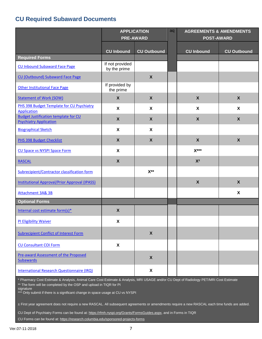## **CU Required Subaward Documents**

|                                                                              | <b>APPLICATION</b><br><b>PRE-AWARD</b> |                           | aq | <b>AGREEMENTS &amp; AMENDMENTS</b><br><b>POST-AWARD</b> |                           |  |
|------------------------------------------------------------------------------|----------------------------------------|---------------------------|----|---------------------------------------------------------|---------------------------|--|
|                                                                              |                                        |                           |    |                                                         |                           |  |
|                                                                              | <b>CU Inbound</b>                      | <b>CU Outbound</b>        |    | <b>CU Inbound</b>                                       | <b>CU Outbound</b>        |  |
| <b>Required Forms</b>                                                        |                                        |                           |    |                                                         |                           |  |
| <b>CU Inbound Subaward Face Page</b>                                         | If not provided<br>by the prime        |                           |    |                                                         |                           |  |
| CU (Outbound) Subaward Face Page                                             |                                        | $\boldsymbol{X}$          |    |                                                         |                           |  |
| <b>Other Institutional Face Page</b>                                         | If provided by<br>the prime            |                           |    |                                                         |                           |  |
| <b>Statement of Work (SOW)</b>                                               | $\boldsymbol{X}$                       | $\boldsymbol{X}$          |    | $\boldsymbol{X}$                                        | $\boldsymbol{X}$          |  |
| PHS 398 Budget Template for CU Psychiatry<br><b>Application</b>              | X                                      | $\boldsymbol{\mathsf{X}}$ |    | X                                                       | X                         |  |
| <b>Budget Justification template for CU</b><br><b>Psychiatry Application</b> | $\mathsf{X}$                           | $\boldsymbol{X}$          |    | $\boldsymbol{X}$                                        | X                         |  |
| <b>Biographical Sketch</b>                                                   | X                                      | X                         |    |                                                         |                           |  |
| PHS 398 Budget Checklist                                                     | $\mathsf{X}$                           | $\boldsymbol{X}$          |    | $\boldsymbol{X}$                                        | $\boldsymbol{X}$          |  |
| <b>CU Space vs NYSPI Space Form</b>                                          | $\mathbf{x}$                           |                           |    | $X***$                                                  |                           |  |
| <b>RASCAL</b>                                                                | $\mathsf{X}$                           |                           |    | $X^{\pm}$                                               |                           |  |
| Subrecipient/Contractor classification form                                  |                                        | $X^{**}$                  |    |                                                         |                           |  |
| <b>Institutional Approval/Prior Approval (IPASS)</b>                         |                                        |                           |    | $\boldsymbol{X}$                                        | $\boldsymbol{X}$          |  |
| <b>Attachment 3A&amp; 3B</b>                                                 |                                        |                           |    |                                                         | $\boldsymbol{\mathsf{x}}$ |  |
| <b>Optional Forms</b>                                                        |                                        |                           |    |                                                         |                           |  |
| Internal cost estimate form(s)*                                              | $\pmb{\mathsf{X}}$                     |                           |    |                                                         |                           |  |
| PI Eligibility Waiver                                                        | X                                      |                           |    |                                                         |                           |  |
| <b>Subrecipient Conflict of Interest Form</b>                                |                                        | $\boldsymbol{X}$          |    |                                                         |                           |  |
| <b>CU Consultant COI Form</b>                                                | X                                      |                           |    |                                                         |                           |  |
| <b>Pre-award Assessment of the Proposed</b><br><b>Subawards</b>              |                                        | $\boldsymbol{X}$          |    |                                                         |                           |  |
| International Research Questionnaire (IRQ)                                   |                                        | X                         |    |                                                         |                           |  |

\* Pharmacy Cost Estimate & Analysis, Animal Care Cost Estimate & Analysis, MRI USAGE and/or CU Dept of Radiology PET/MRI Cost Estimate \*\* The form will be completed by the OSP and upload in TIQR for PI

signature

\*\*\* Only submit if there is a significant change in space usage at CU vs NYSPI

± First year agreement does not require a new RASCAL. All subsequent agreements or amendments require a new RASCAL each time funds are added.

CU Dept of Psychiatry Forms can be found at: [https://rfmh.nyspi.org/Grants/FormsGuides.aspx,](https://rfmh.nyspi.org/Grants/FormsGuides.aspx) and in Forms in TIQR

CU Forms can be found at: <https://research.columbia.edu/sponsored-projects-forms>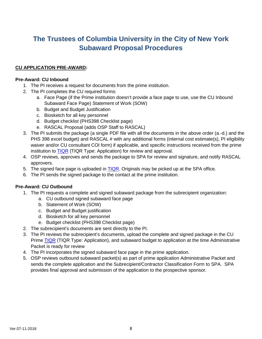# **The Trustees of Columbia University in the City of New York Subaward Proposal Procedures**

#### **CU APPLICATION PRE-AWARD:**

#### **Pre-Award: CU Inbound**

- 1. The PI receives a request for documents from the prime institution.
- 2. The PI completes the CU required forms:
	- a. Face Page (if the Prime institution doesn't provide a face page to use, use the CU Inbound Subaward Face Page) Statement of Work (SOW)
	- b. Budget and Budget Justification
	- c. Biosketch for all key personnel
	- d. Budget checklist (PHS398 Checklist page)
	- e. RASCAL Proposal (adds OSP Staff to RASCAL)
- 3. The PI submits the package (a single PDF file with all the documents in the above order (a.-d.) and the PHS 398 excel budget) and RASCAL # with any additional forms (internal cost estimate(s), PI eligibility waiver and/or CU consultant COI form) if applicable, and specific instructions received from the prime institution to [TIQR](http://tiqr.nyspi.org/) (TIQR Type: Application) for review and approval.
- 4. OSP reviews, approves and sends the package to SPA for review and signature, and notify RASCAL approvers.
- 5. The signed face page is uploaded in **TIQR**. Originals may be picked up at the SPA office.
- 6. The PI sends the signed package to the contact at the prime institution.

#### **Pre-Award: CU Outbound**

- 1. The PI requests a complete and signed subaward package from the subrecipient organization:
	- a. CU outbound signed subaward face page
	- b. Statement of Work (SOW)
	- c. Budget and Budget justification
	- d. Biosketch for all key personnel
	- e. Budget checklist (PHS398 Checklist page)
- 2. The subrecipient's documents are sent directly to the PI.
- 3. The PI reviews the subrecipient's documents, upload the complete and signed package in the CU Prime [TIQR](http://tiqr.nyspi.org/) (TIQR Type: Application), and subaward budget to application at the time Administrative Packet is ready for review
- 4. The PI incorporates the signed subaward face page in the prime application.
- 5. OSP reviews outbound subaward packet(s) as part of prime application Administrative Packet and sends the complete application and the Subrecipient/Contractor Classification Form to SPA. SPA provides final approval and submission of the application to the prospective sponsor.